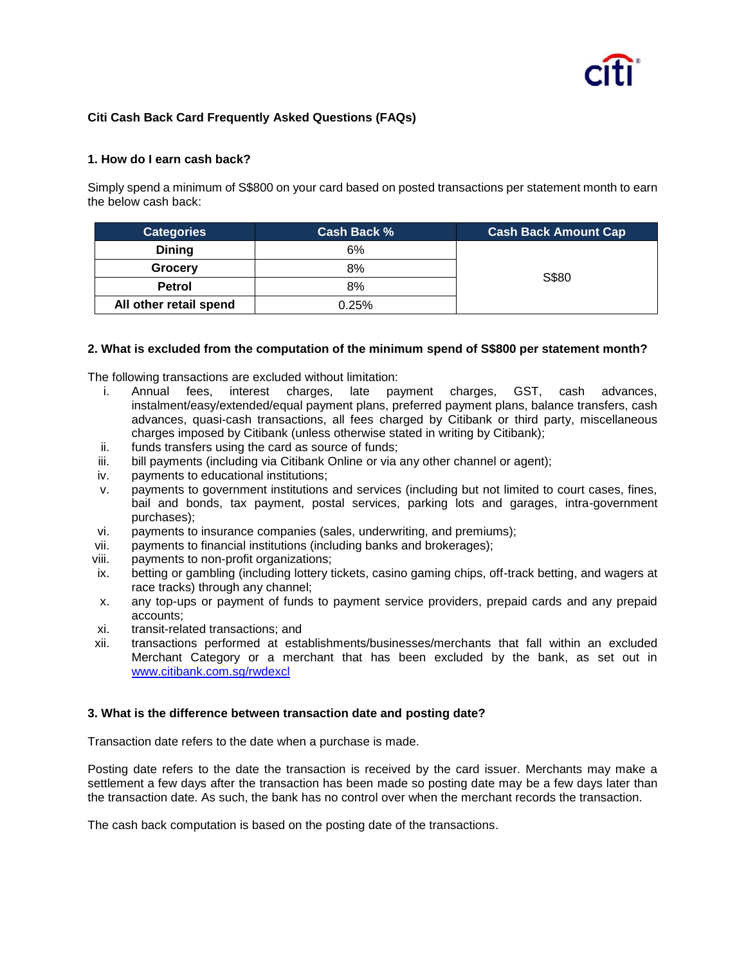# **Citi Cash Back Card Frequently Asked Questions (FAQs)**

## **1. How do I earn cash back?**

Simply spend a minimum of S\$800 on your card based on posted transactions per statement month to earn the below cash back:

| Categories             | Cash Back % | <b>Cash Back Amount Cap</b> |
|------------------------|-------------|-----------------------------|
| <b>Dining</b>          | 6%          | S\$80                       |
| Grocery                | 8%          |                             |
| <b>Petrol</b>          | 8%          |                             |
| All other retail spend | 0.25%       |                             |

### **2. What is excluded from the computation of the minimum spend of S\$800 per statement month?**

The following transactions are excluded without limitation:

- i. Annual fees, interest charges, late payment charges, GST, cash advances, instalment/easy/extended/equal payment plans, preferred payment plans, balance transfers, cash advances, quasi-cash transactions, all fees charged by Citibank or third party, miscellaneous charges imposed by Citibank (unless otherwise stated in writing by Citibank);
- ii. funds transfers using the card as source of funds;
- iii. bill payments (including via Citibank Online or via any other channel or agent);
- iv. payments to educational institutions;
- v. payments to government institutions and services (including but not limited to court cases, fines, bail and bonds, tax payment, postal services, parking lots and garages, intra-government purchases);
- vi. payments to insurance companies (sales, underwriting, and premiums);
- vii. payments to financial institutions (including banks and brokerages);
- viii. payments to non-profit organizations;
- ix. betting or gambling (including lottery tickets, casino gaming chips, off-track betting, and wagers at race tracks) through any channel;
- x. any top-ups or payment of funds to payment service providers, prepaid cards and any prepaid accounts;
- xi. transit-related transactions; and
- xii. transactions performed at establishments/businesses/merchants that fall within an excluded Merchant Category or a merchant that has been excluded by the bank, as set out in [www.citibank.com.sg/rwdexcl](http://www.citibank.com.sg/rwdexcl)

#### **3. What is the difference between transaction date and posting date?**

Transaction date refers to the date when a purchase is made.

Posting date refers to the date the transaction is received by the card issuer. Merchants may make a settlement a few days after the transaction has been made so posting date may be a few days later than the transaction date. As such, the bank has no control over when the merchant records the transaction.

The cash back computation is based on the posting date of the transactions.